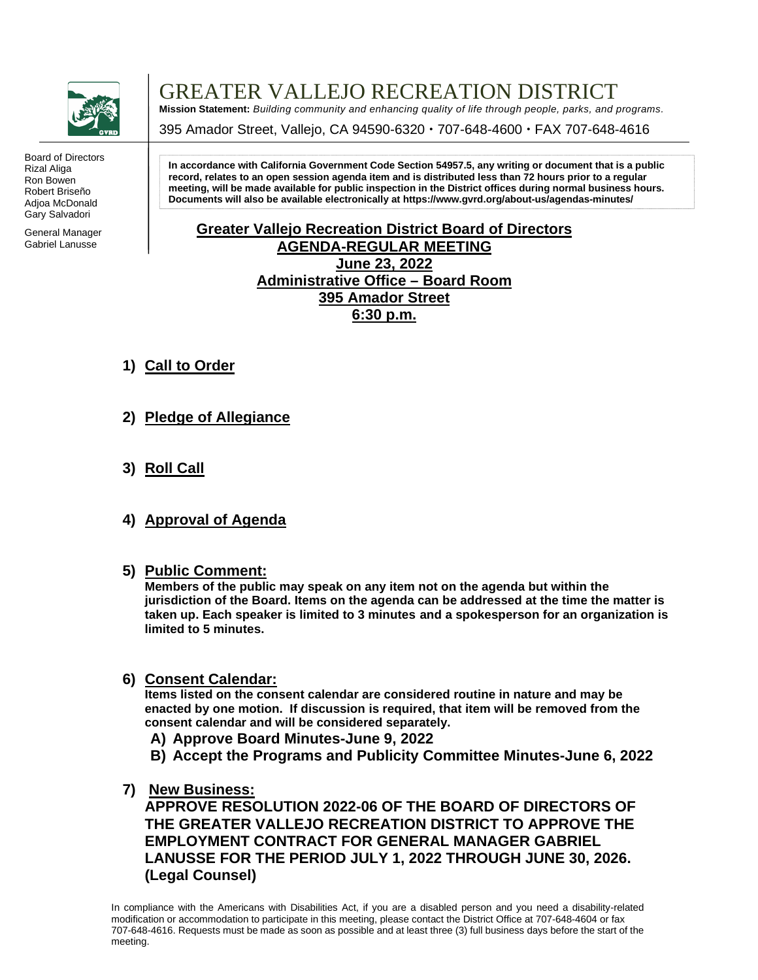

Board of Directors Rizal Aliga Ron Bowen Robert Briseño Adjoa McDonald Gary Salvadori

General Manager Gabriel Lanusse

## GREATER VALLEJO RECREATION DISTRICT

**Mission Statement:** *Building community and enhancing quality of life through people, parks, and programs.*

395 Amador Street, Vallejo, CA 94590-6320 · 707-648-4600 · FAX 707-648-4616

**In accordance with California Government Code Section 54957.5, any writing or document that is a public record, relates to an open session agenda item and is distributed less than 72 hours prior to a regular meeting, will be made available for public inspection in the District offices during normal business hours. Documents will also be available electronically a[t https://www.gvrd.org/about-us/agendas-minutes/](https://www.gvrd.org/about-us/agendas-minutes/)**

## **Greater Vallejo Recreation District Board of Directors AGENDA-REGULAR MEETING June 23, 2022 Administrative Office – Board Room 395 Amador Street 6:30 p.m.**

- **1) Call to Order**
- **2) Pledge of Allegiance**
- **3) Roll Call**
- **4) Approval of Agenda**
- **5) Public Comment:**

**Members of the public may speak on any item not on the agenda but within the jurisdiction of the Board. Items on the agenda can be addressed at the time the matter is taken up. Each speaker is limited to 3 minutes and a spokesperson for an organization is limited to 5 minutes.**

**6) Consent Calendar:**

**Items listed on the consent calendar are considered routine in nature and may be enacted by one motion. If discussion is required, that item will be removed from the consent calendar and will be considered separately.**

- **A) Approve Board Minutes-June 9, 2022**
- **B) Accept the Programs and Publicity Committee Minutes-June 6, 2022**
- **7) New Business:**

**APPROVE RESOLUTION 2022-06 OF THE BOARD OF DIRECTORS OF THE GREATER VALLEJO RECREATION DISTRICT TO APPROVE THE EMPLOYMENT CONTRACT FOR GENERAL MANAGER GABRIEL LANUSSE FOR THE PERIOD JULY 1, 2022 THROUGH JUNE 30, 2026. (Legal Counsel)**

In compliance with the Americans with Disabilities Act, if you are a disabled person and you need a disability-related modification or accommodation to participate in this meeting, please contact the District Office at 707-648-4604 or fax 707-648-4616. Requests must be made as soon as possible and at least three (3) full business days before the start of the meeting.